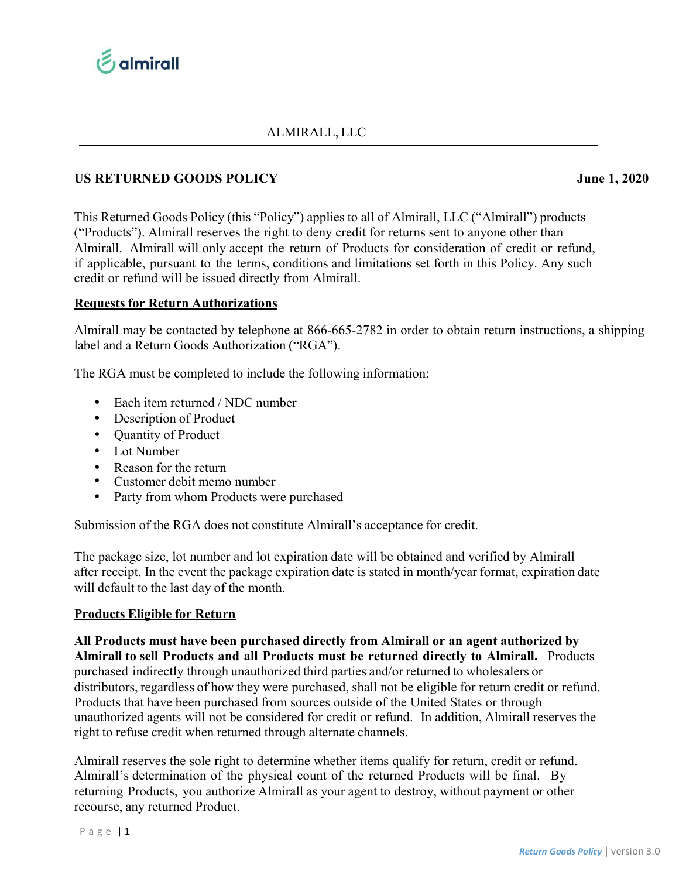

# ALMIRALL, LLC

## **US RETURNED GOODS POLICY June 1, 2020**

This Returned Goods Policy (this "Policy") applies to all of Almirall, LLC ("Almirall") products ("Products"). Almirall reserves the right to deny credit for returns sent to anyone other than Almirall. Almirall will only accept the return of Products for consideration of credit or refund, if applicable, pursuant to the terms, conditions and limitations set forth in this Policy. Any such credit or refund will be issued directly from Almirall.

### **Requests for Return Authorizations**

Almirall may be contacted by telephone at 866-665-2782 in order to obtain return instructions, a shipping label and a Return Goods Authorization ("RGA").

The RGA must be completed to include the following information:

- Each item returned / NDC number
- Description of Product
- Quantity of Product
- Lot Number
- Reason for the return
- Customer debit memo number
- Party from whom Products were purchased

Submission of the RGA does not constitute Almirall's acceptance for credit.

The package size, lot number and lot expiration date will be obtained and verified by Almirall after receipt. In the event the package expiration date is stated in month/year format, expiration date will default to the last day of the month.

#### **Products Eligible for Return**

**All Products must have been purchased directly from Almirall or an agent authorized by Almirall to sell Products and all Products must be returned directly to Almirall.** Products purchased indirectly through unauthorized third parties and/or returned to wholesalers or distributors, regardless of how they were purchased, shall not be eligible for return credit or refund. Products that have been purchased from sources outside of the United States or through unauthorized agents will not be considered for credit or refund. In addition, Almirall reserves the right to refuse credit when returned through alternate channels.

Almirall reserves the sole right to determine whether items qualify for return, credit or refund. Almirall's determination of the physical count of the returned Products will be final. By returning Products, you authorize Almirall as your agent to destroy, without payment or other recourse, any returned Product.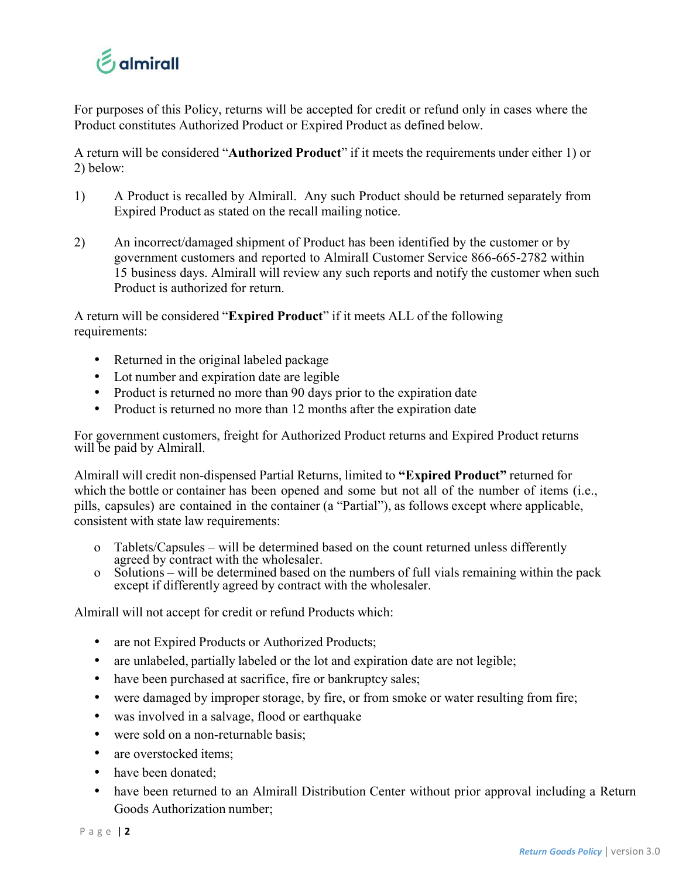

For purposes of this Policy, returns will be accepted for credit or refund only in cases where the Product constitutes Authorized Product or Expired Product as defined below.

A return will be considered "**Authorized Product**" if it meets the requirements under either 1) or 2) below:

- 1) A Product is recalled by Almirall. Any such Product should be returned separately from Expired Product as stated on the recall mailing notice.
- 2) An incorrect/damaged shipment of Product has been identified by the customer or by government customers and reported to Almirall Customer Service 866-665-2782 within 15 business days. Almirall will review any such reports and notify the customer when such Product is authorized for return.

A return will be considered "**Expired Product**" if it meets ALL of the following requirements:

- Returned in the original labeled package
- Lot number and expiration date are legible
- Product is returned no more than 90 days prior to the expiration date
- Product is returned no more than 12 months after the expiration date

For government customers, freight for Authorized Product returns and Expired Product returns will be paid by Almirall.

Almirall will credit non-dispensed Partial Returns, limited to **"Expired Product"** returned for which the bottle or container has been opened and some but not all of the number of items (i.e., pills, capsules) are contained in the container (a "Partial"), as follows except where applicable, consistent with state law requirements:

- o Tablets/Capsules will be determined based on the count returned unless differently
- $\alpha$  Solutions will be determined based on the numbers of full vials remaining within the pack except if differently agreed by contract with the wholesaler.

Almirall will not accept for credit or refund Products which:

- are not Expired Products or Authorized Products;
- are unlabeled, partially labeled or the lot and expiration date are not legible;
- have been purchased at sacrifice, fire or bankruptcy sales;
- were damaged by improper storage, by fire, or from smoke or water resulting from fire;
- was involved in a salvage, flood or earthquake
- were sold on a non-returnable basis:
- are overstocked items;
- have been donated;
- have been returned to an Almirall Distribution Center without prior approval including a Return Goods Authorization number;